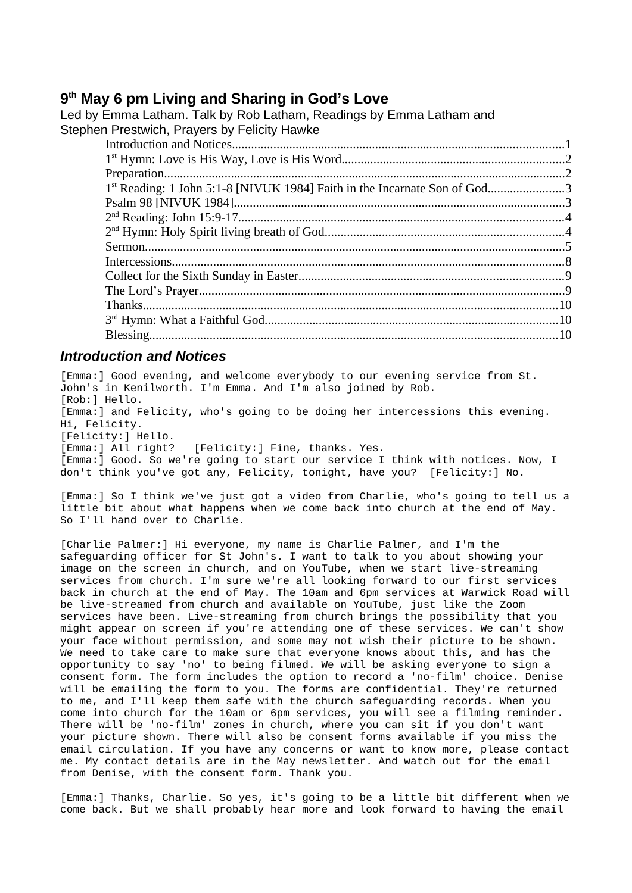# **9 th May 6 pm Living and Sharing in God's Love**

| Led by Emma Latham. Talk by Rob Latham, Readings by Emma Latham and<br>Stephen Prestwich, Prayers by Felicity Hawke |  |
|---------------------------------------------------------------------------------------------------------------------|--|
|                                                                                                                     |  |
|                                                                                                                     |  |
|                                                                                                                     |  |
| 1 <sup>st</sup> Reading: 1 John 5:1-8 [NIVUK 1984] Faith in the Incarnate Son of God3                               |  |
|                                                                                                                     |  |
|                                                                                                                     |  |
|                                                                                                                     |  |
|                                                                                                                     |  |
|                                                                                                                     |  |
|                                                                                                                     |  |
|                                                                                                                     |  |
|                                                                                                                     |  |
|                                                                                                                     |  |
|                                                                                                                     |  |
|                                                                                                                     |  |

#### <span id="page-0-0"></span>*Introduction and Notices*

[Emma:] Good evening, and welcome everybody to our evening service from St. John's in Kenilworth. I'm Emma. And I'm also joined by Rob. [Rob:] Hello. [Emma:] and Felicity, who's going to be doing her intercessions this evening. Hi, Felicity. [Felicity:] Hello. [Emma:] All right? [Felicity:] Fine, thanks. Yes. [Emma:] Good. So we're going to start our service I think with notices. Now, I don't think you've got any, Felicity, tonight, have you? [Felicity:] No.

[Emma:] So I think we've just got a video from Charlie, who's going to tell us a little bit about what happens when we come back into church at the end of May. So I'll hand over to Charlie.

[Charlie Palmer:] Hi everyone, my name is Charlie Palmer, and I'm the safeguarding officer for St John's. I want to talk to you about showing your image on the screen in church, and on YouTube, when we start live-streaming services from church. I'm sure we're all looking forward to our first services back in church at the end of May. The 10am and 6pm services at Warwick Road will be live-streamed from church and available on YouTube, just like the Zoom services have been. Live-streaming from church brings the possibility that you might appear on screen if you're attending one of these services. We can't show your face without permission, and some may not wish their picture to be shown. We need to take care to make sure that everyone knows about this, and has the opportunity to say 'no' to being filmed. We will be asking everyone to sign a consent form. The form includes the option to record a 'no-film' choice. Denise will be emailing the form to you. The forms are confidential. They're returned to me, and I'll keep them safe with the church safeguarding records. When you come into church for the 10am or 6pm services, you will see a filming reminder. There will be 'no-film' zones in church, where you can sit if you don't want your picture shown. There will also be consent forms available if you miss the email circulation. If you have any concerns or want to know more, please contact me. My contact details are in the May newsletter. And watch out for the email from Denise, with the consent form. Thank you.

[Emma:] Thanks, Charlie. So yes, it's going to be a little bit different when we come back. But we shall probably hear more and look forward to having the email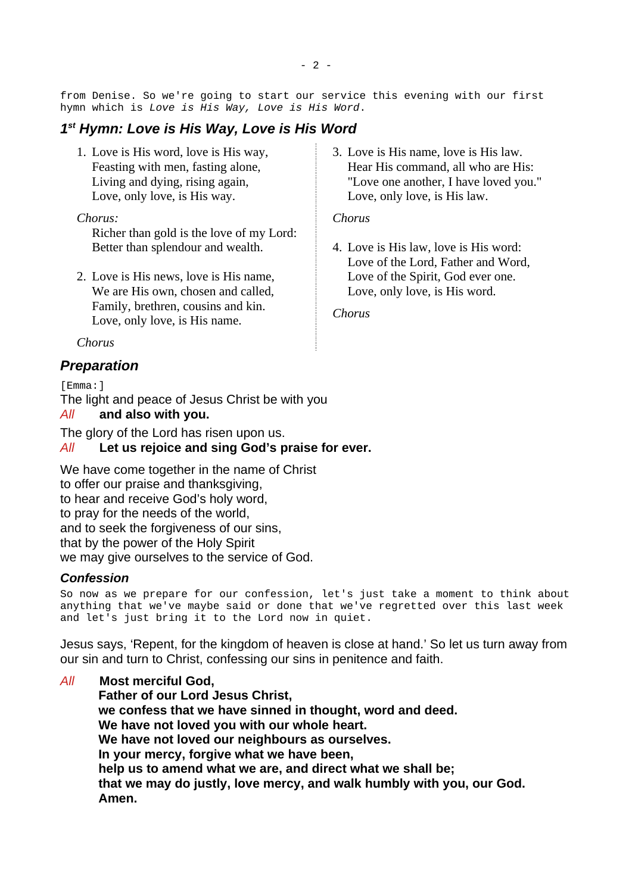from Denise. So we're going to start our service this evening with our first hymn which is *Love is His Way, Love is His Word*.

# <span id="page-1-0"></span>*1 st Hymn: Love is His Way, Love is His Word*

1. Love is His word, love is His way, Feasting with men, fasting alone, Living and dying, rising again, Love, only love, is His way.

#### *Chorus:*

Richer than gold is the love of my Lord: Better than splendour and wealth.

- 2. Love is His news, love is His name, We are His own, chosen and called, Family, brethren, cousins and kin. Love, only love, is His name.
- *Chorus*

# <span id="page-1-1"></span>*Preparation*

[Emma:]

The light and peace of Jesus Christ be with you

#### *All* **and also with you.**

The glory of the Lord has risen upon us.

#### *All* **Let us rejoice and sing God's praise for ever.**

We have come together in the name of Christ to offer our praise and thanksgiving, to hear and receive God's holy word, to pray for the needs of the world, and to seek the forgiveness of our sins, that by the power of the Holy Spirit we may give ourselves to the service of God.

#### *Confession*

So now as we prepare for our confession, let's just take a moment to think about anything that we've maybe said or done that we've regretted over this last week and let's just bring it to the Lord now in quiet.

Jesus says, 'Repent, for the kingdom of heaven is close at hand.' So let us turn away from our sin and turn to Christ, confessing our sins in penitence and faith.

*All* **Most merciful God, Father of our Lord Jesus Christ, we confess that we have sinned in thought, word and deed. We have not loved you with our whole heart. We have not loved our neighbours as ourselves. In your mercy, forgive what we have been, help us to amend what we are, and direct what we shall be; that we may do justly, love mercy, and walk humbly with you, our God. Amen.**

3. Love is His name, love is His law. Hear His command, all who are His: "Love one another, I have loved you." Love, only love, is His law.

#### *Chorus*

4. Love is His law, love is His word: Love of the Lord, Father and Word, Love of the Spirit, God ever one. Love, only love, is His word.

*Chorus*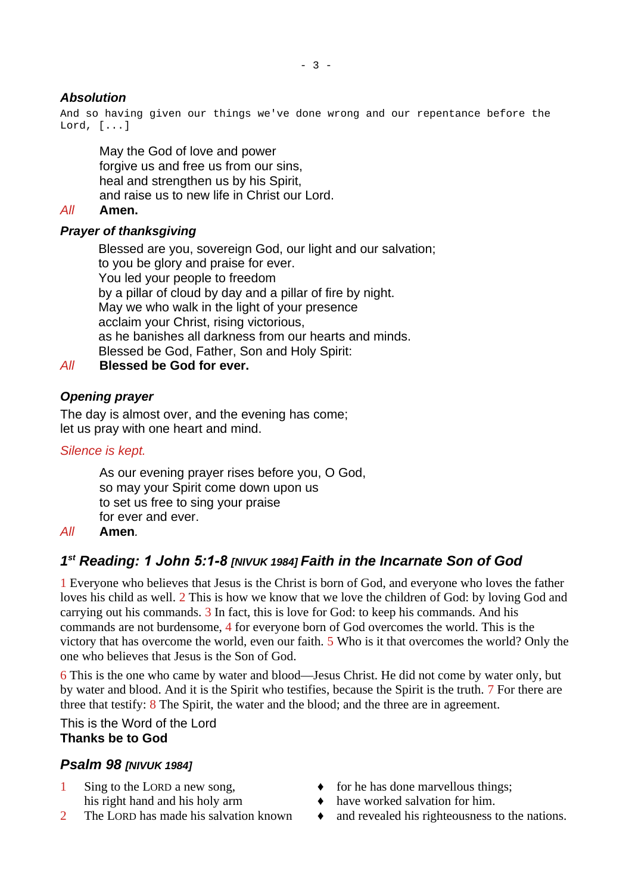# *Absolution*

And so having given our things we've done wrong and our repentance before the Lord, [...]

May the God of love and power forgive us and free us from our sins. heal and strengthen us by his Spirit, and raise us to new life in Christ our Lord.

### *All* **Amen.**

### *Prayer of thanksgiving*

Blessed are you, sovereign God, our light and our salvation; to you be glory and praise for ever. You led your people to freedom by a pillar of cloud by day and a pillar of fire by night. May we who walk in the light of your presence acclaim your Christ, rising victorious, as he banishes all darkness from our hearts and minds. Blessed be God, Father, Son and Holy Spirit:

# *All* **Blessed be God for ever.**

# *Opening prayer*

The day is almost over, and the evening has come; let us pray with one heart and mind.

### *Silence is kept.*

As our evening prayer rises before you, O God, so may your Spirit come down upon us to set us free to sing your praise for ever and ever.

### *All* **Amen***.*

# <span id="page-2-1"></span>*1 st Reading: 1 John 5:1-8 [NIVUK 1984] Faith in the Incarnate Son of God*

1 Everyone who believes that Jesus is the Christ is born of God, and everyone who loves the father loves his child as well. 2 This is how we know that we love the children of God: by loving God and carrying out his commands. 3 In fact, this is love for God: to keep his commands. And his commands are not burdensome, 4 for everyone born of God overcomes the world. This is the victory that has overcome the world, even our faith. 5 Who is it that overcomes the world? Only the one who believes that Jesus is the Son of God.

6 This is the one who came by water and blood—Jesus Christ. He did not come by water only, but by water and blood. And it is the Spirit who testifies, because the Spirit is the truth. 7 For there are three that testify:  $8$  The Spirit, the water and the blood; and the three are in agreement.

# This is the Word of the Lord **Thanks be to God**

# <span id="page-2-0"></span>*Psalm 98 [NIVUK 1984]*

- 
- 
- 1 Sing to the LORD a new song,  $\bullet$  for he has done marvellous things;
	- his right hand and his holy arm  $\bullet$  have worked salvation for him.
- 2 The LORD has made his salvation known  $\bullet$  and revealed his righteousness to the nations.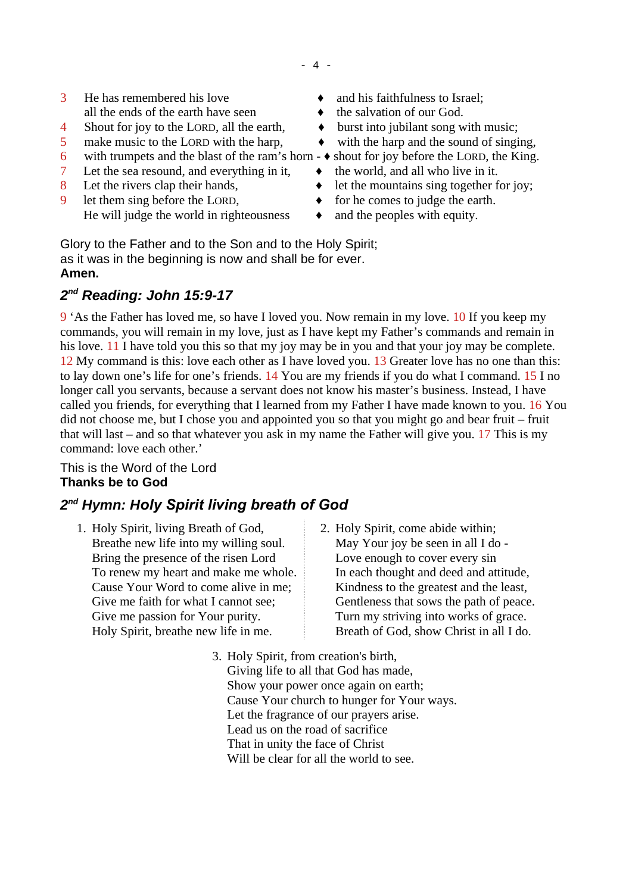- 4 -

- $3$  He has remembered his love  $\rightarrow$  and his faithfulness to Israel; all the ends of the earth have seen  $\rightarrow$  the salvation of our God.
- 4 Shout for joy to the LORD, all the earth,  $\rightarrow$  burst into jubilant song with music;
- 5 make music to the LORD with the harp,  $\bullet$  with the harp and the sound of singing,
- 6 with trumpets and the blast of the ram's horn  $\rightarrow$  shout for joy before the LORD, the King.
- 7 Let the sea resound, and everything in it,  $\bullet$  the world, and all who live in it.
- 
- 9 let them sing before the LORD,  $\bullet$  for he comes to judge the earth. He will judge the world in righteousness  $\rightarrow$  and the peoples with equity.
- 
- 
- 
- 
- 
- 
- 8 Let the rivers clap their hands,  $\rightarrow$  let the mountains sing together for joy;
	-
	-

Glory to the Father and to the Son and to the Holy Spirit; as it was in the beginning is now and shall be for ever. **Amen.**

# <span id="page-3-1"></span>*2 nd Reading: John 15:9-17*

9 'As the Father has loved me, so have I loved you. Now remain in my love. 10 If you keep my commands, you will remain in my love, just as I have kept my Father's commands and remain in his love. 11 I have told you this so that my joy may be in you and that your joy may be complete. 12 My command is this: love each other as I have loved you. 13 Greater love has no one than this: to lay down one's life for one's friends. 14 You are my friends if you do what I command. 15 I no longer call you servants, because a servant does not know his master's business. Instead, I have called you friends, for everything that I learned from my Father I have made known to you. 16 You did not choose me, but I chose you and appointed you so that you might go and bear fruit – fruit that will last – and so that whatever you ask in my name the Father will give you. 17 This is my command: love each other.'

This is the Word of the Lord **Thanks be to God**

# <span id="page-3-0"></span>*2 nd Hymn: Holy Spirit living breath of God*

- 1. Holy Spirit, living Breath of God, Breathe new life into my willing soul. Bring the presence of the risen Lord To renew my heart and make me whole. Cause Your Word to come alive in me; Give me faith for what I cannot see; Give me passion for Your purity. Holy Spirit, breathe new life in me.
- 2. Holy Spirit, come abide within; May Your joy be seen in all I do - Love enough to cover every sin In each thought and deed and attitude, Kindness to the greatest and the least, Gentleness that sows the path of peace. Turn my striving into works of grace. Breath of God, show Christ in all I do.
- 3. Holy Spirit, from creation's birth, Giving life to all that God has made, Show your power once again on earth; Cause Your church to hunger for Your ways. Let the fragrance of our prayers arise. Lead us on the road of sacrifice That in unity the face of Christ Will be clear for all the world to see.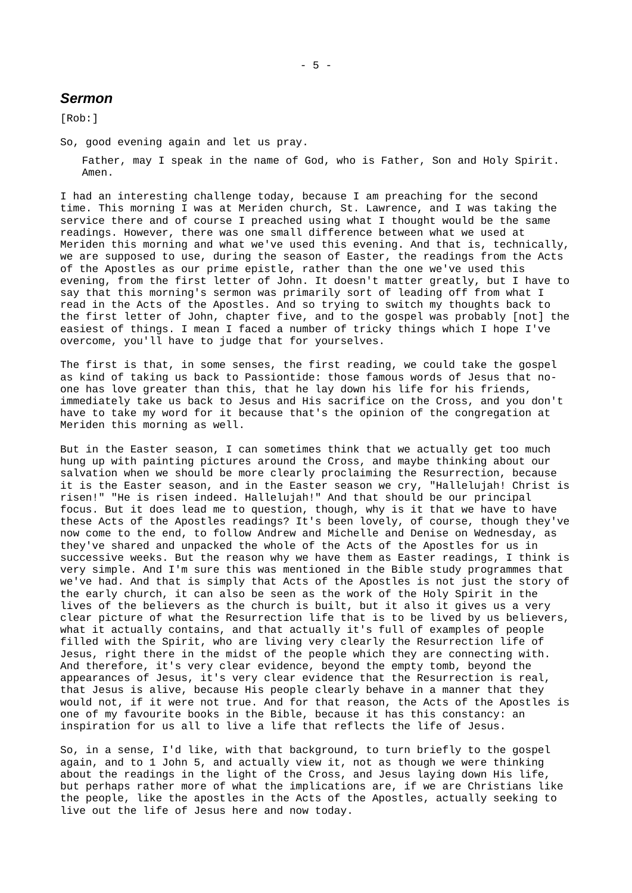#### <span id="page-4-0"></span>*Sermon*

[Rob:]

So, good evening again and let us pray.

Father, may I speak in the name of God, who is Father, Son and Holy Spirit. Amen.

I had an interesting challenge today, because I am preaching for the second time. This morning I was at Meriden church, St. Lawrence, and I was taking the service there and of course I preached using what I thought would be the same readings. However, there was one small difference between what we used at Meriden this morning and what we've used this evening. And that is, technically, we are supposed to use, during the season of Easter, the readings from the Acts of the Apostles as our prime epistle, rather than the one we've used this evening, from the first letter of John. It doesn't matter greatly, but I have to say that this morning's sermon was primarily sort of leading off from what I read in the Acts of the Apostles. And so trying to switch my thoughts back to the first letter of John, chapter five, and to the gospel was probably [not] the easiest of things. I mean I faced a number of tricky things which I hope I've overcome, you'll have to judge that for yourselves.

The first is that, in some senses, the first reading, we could take the gospel as kind of taking us back to Passiontide: those famous words of Jesus that noone has love greater than this, that he lay down his life for his friends, immediately take us back to Jesus and His sacrifice on the Cross, and you don't have to take my word for it because that's the opinion of the congregation at Meriden this morning as well.

But in the Easter season, I can sometimes think that we actually get too much hung up with painting pictures around the Cross, and maybe thinking about our salvation when we should be more clearly proclaiming the Resurrection, because it is the Easter season, and in the Easter season we cry, "Hallelujah! Christ is risen!" "He is risen indeed. Hallelujah!" And that should be our principal focus. But it does lead me to question, though, why is it that we have to have these Acts of the Apostles readings? It's been lovely, of course, though they've now come to the end, to follow Andrew and Michelle and Denise on Wednesday, as they've shared and unpacked the whole of the Acts of the Apostles for us in successive weeks. But the reason why we have them as Easter readings, I think is very simple. And I'm sure this was mentioned in the Bible study programmes that we've had. And that is simply that Acts of the Apostles is not just the story of the early church, it can also be seen as the work of the Holy Spirit in the lives of the believers as the church is built, but it also it gives us a very clear picture of what the Resurrection life that is to be lived by us believers, what it actually contains, and that actually it's full of examples of people filled with the Spirit, who are living very clearly the Resurrection life of Jesus, right there in the midst of the people which they are connecting with. And therefore, it's very clear evidence, beyond the empty tomb, beyond the appearances of Jesus, it's very clear evidence that the Resurrection is real, that Jesus is alive, because His people clearly behave in a manner that they would not, if it were not true. And for that reason, the Acts of the Apostles is one of my favourite books in the Bible, because it has this constancy: an inspiration for us all to live a life that reflects the life of Jesus.

So, in a sense, I'd like, with that background, to turn briefly to the gospel again, and to 1 John 5, and actually view it, not as though we were thinking about the readings in the light of the Cross, and Jesus laying down His life, but perhaps rather more of what the implications are, if we are Christians like the people, like the apostles in the Acts of the Apostles, actually seeking to live out the life of Jesus here and now today.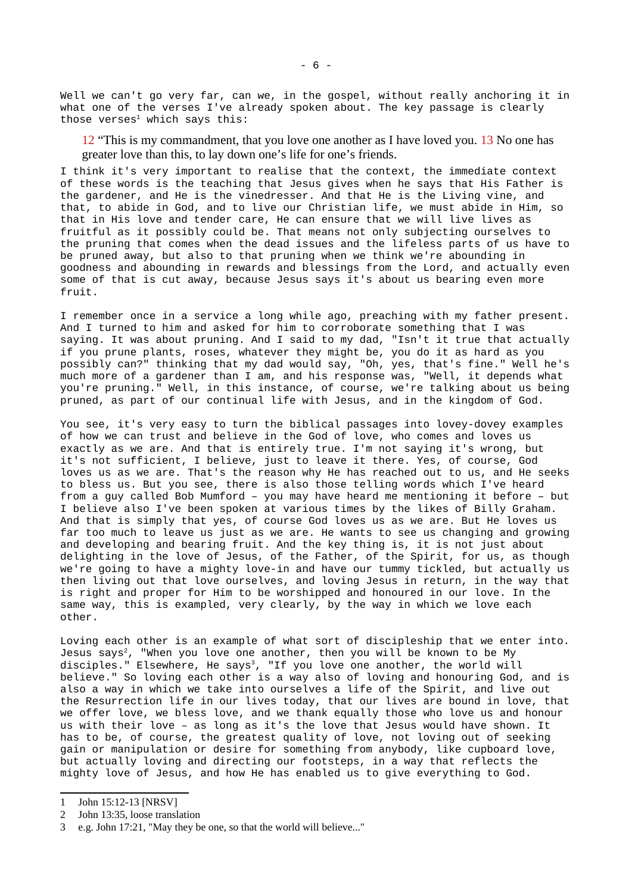Well we can't go very far, can we, in the gospel, without really anchoring it in what one of the verses I've already spoken about. The key passage is clearly those verses $1$  which says this:

12 "This is my commandment, that you love one another as I have loved you. 13 No one has greater love than this, to lay down one's life for one's friends.

I think it's very important to realise that the context, the immediate context of these words is the teaching that Jesus gives when he says that His Father is the gardener, and He is the vinedresser. And that He is the Living vine, and that, to abide in God, and to live our Christian life, we must abide in Him, so that in His love and tender care, He can ensure that we will live lives as fruitful as it possibly could be. That means not only subjecting ourselves to the pruning that comes when the dead issues and the lifeless parts of us have to be pruned away, but also to that pruning when we think we're abounding in goodness and abounding in rewards and blessings from the Lord, and actually even some of that is cut away, because Jesus says it's about us bearing even more fruit.

I remember once in a service a long while ago, preaching with my father present. And I turned to him and asked for him to corroborate something that I was saying. It was about pruning. And I said to my dad, "Isn't it true that actually if you prune plants, roses, whatever they might be, you do it as hard as you possibly can?" thinking that my dad would say, "Oh, yes, that's fine." Well he's much more of a gardener than I am, and his response was, "Well, it depends what you're pruning." Well, in this instance, of course, we're talking about us being pruned, as part of our continual life with Jesus, and in the kingdom of God.

You see, it's very easy to turn the biblical passages into lovey-dovey examples of how we can trust and believe in the God of love, who comes and loves us exactly as we are. And that is entirely true. I'm not saying it's wrong, but it's not sufficient, I believe, just to leave it there. Yes, of course, God loves us as we are. That's the reason why He has reached out to us, and He seeks to bless us. But you see, there is also those telling words which I've heard from a guy called Bob Mumford – you may have heard me mentioning it before – but I believe also I've been spoken at various times by the likes of Billy Graham. And that is simply that yes, of course God loves us as we are. But He loves us far too much to leave us just as we are. He wants to see us changing and growing and developing and bearing fruit. And the key thing is, it is not just about delighting in the love of Jesus, of the Father, of the Spirit, for us, as though we're going to have a mighty love-in and have our tummy tickled, but actually us then living out that love ourselves, and loving Jesus in return, in the way that is right and proper for Him to be worshipped and honoured in our love. In the same way, this is exampled, very clearly, by the way in which we love each other.

Loving each other is an example of what sort of discipleship that we enter into. Jesus says<sup>[2](#page-5-1)</sup>, "When you love one another, then you will be known to be My disciples." Elsewhere, He says<sup>[3](#page-5-2)</sup>, "If you love one another, the world will believe." So loving each other is a way also of loving and honouring God, and is also a way in which we take into ourselves a life of the Spirit, and live out the Resurrection life in our lives today, that our lives are bound in love, that we offer love, we bless love, and we thank equally those who love us and honour us with their love – as long as it's the love that Jesus would have shown. It has to be, of course, the greatest quality of love, not loving out of seeking gain or manipulation or desire for something from anybody, like cupboard love, but actually loving and directing our footsteps, in a way that reflects the mighty love of Jesus, and how He has enabled us to give everything to God.

<span id="page-5-0"></span><sup>1</sup> John 15:12-13 [NRSV]

<span id="page-5-1"></span><sup>2</sup> John 13:35, loose translation

<span id="page-5-2"></span><sup>3</sup> e.g. John 17:21, "May they be one, so that the world will believe..."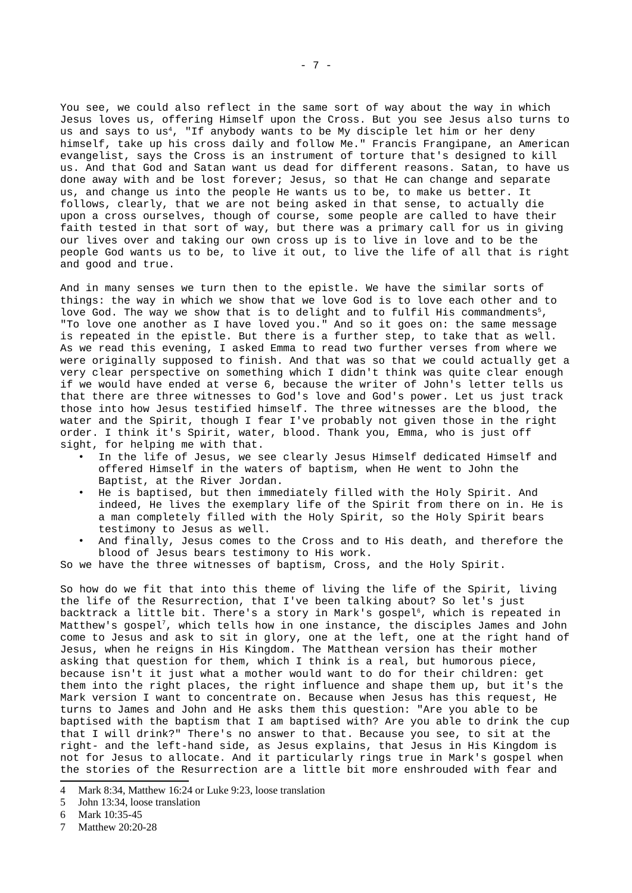You see, we could also reflect in the same sort of way about the way in which Jesus loves us, offering Himself upon the Cross. But you see Jesus also turns to us and says to us<sup>[4](#page-6-0)</sup>, "If anybody wants to be My disciple let him or her deny himself, take up his cross daily and follow Me." Francis Frangipane, an American evangelist, says the Cross is an instrument of torture that's designed to kill us. And that God and Satan want us dead for different reasons. Satan, to have us done away with and be lost forever; Jesus, so that He can change and separate us, and change us into the people He wants us to be, to make us better. It follows, clearly, that we are not being asked in that sense, to actually die upon a cross ourselves, though of course, some people are called to have their faith tested in that sort of way, but there was a primary call for us in giving our lives over and taking our own cross up is to live in love and to be the people God wants us to be, to live it out, to live the life of all that is right and good and true.

And in many senses we turn then to the epistle. We have the similar sorts of things: the way in which we show that we love God is to love each other and to love God. The way we show that is to delight and to fulfil His commandments<sup>[5](#page-6-1)</sup>, "To love one another as I have loved you." And so it goes on: the same message is repeated in the epistle. But there is a further step, to take that as well. As we read this evening, I asked Emma to read two further verses from where we were originally supposed to finish. And that was so that we could actually get a very clear perspective on something which I didn't think was quite clear enough if we would have ended at verse 6, because the writer of John's letter tells us that there are three witnesses to God's love and God's power. Let us just track those into how Jesus testified himself. The three witnesses are the blood, the water and the Spirit, though I fear I've probably not given those in the right order. I think it's Spirit, water, blood. Thank you, Emma, who is just off sight, for helping me with that.

- In the life of Jesus, we see clearly Jesus Himself dedicated Himself and offered Himself in the waters of baptism, when He went to John the Baptist, at the River Jordan.
- He is baptised, but then immediately filled with the Holy Spirit. And indeed, He lives the exemplary life of the Spirit from there on in. He is a man completely filled with the Holy Spirit, so the Holy Spirit bears testimony to Jesus as well.
- And finally, Jesus comes to the Cross and to His death, and therefore the blood of Jesus bears testimony to His work.

So we have the three witnesses of baptism, Cross, and the Holy Spirit.

So how do we fit that into this theme of living the life of the Spirit, living the life of the Resurrection, that I've been talking about? So let's just backtrack a little bit. There's a story in Mark's gospel<sup>[6](#page-6-2)</sup>, which is repeated in Matthew's gospel $^7$  $^7$ , which tells how in one instance, the disciples James and John come to Jesus and ask to sit in glory, one at the left, one at the right hand of Jesus, when he reigns in His Kingdom. The Matthean version has their mother asking that question for them, which I think is a real, but humorous piece, because isn't it just what a mother would want to do for their children: get them into the right places, the right influence and shape them up, but it's the Mark version I want to concentrate on. Because when Jesus has this request, He turns to James and John and He asks them this question: "Are you able to be baptised with the baptism that I am baptised with? Are you able to drink the cup that I will drink?" There's no answer to that. Because you see, to sit at the right- and the left-hand side, as Jesus explains, that Jesus in His Kingdom is not for Jesus to allocate. And it particularly rings true in Mark's gospel when the stories of the Resurrection are a little bit more enshrouded with fear and

<span id="page-6-1"></span>5 John 13:34, loose translation

<span id="page-6-3"></span>7 Matthew 20:20-28

<span id="page-6-0"></span><sup>4</sup> Mark 8:34, Matthew 16:24 or Luke 9:23, loose translation

<span id="page-6-2"></span><sup>6</sup> Mark 10:35-45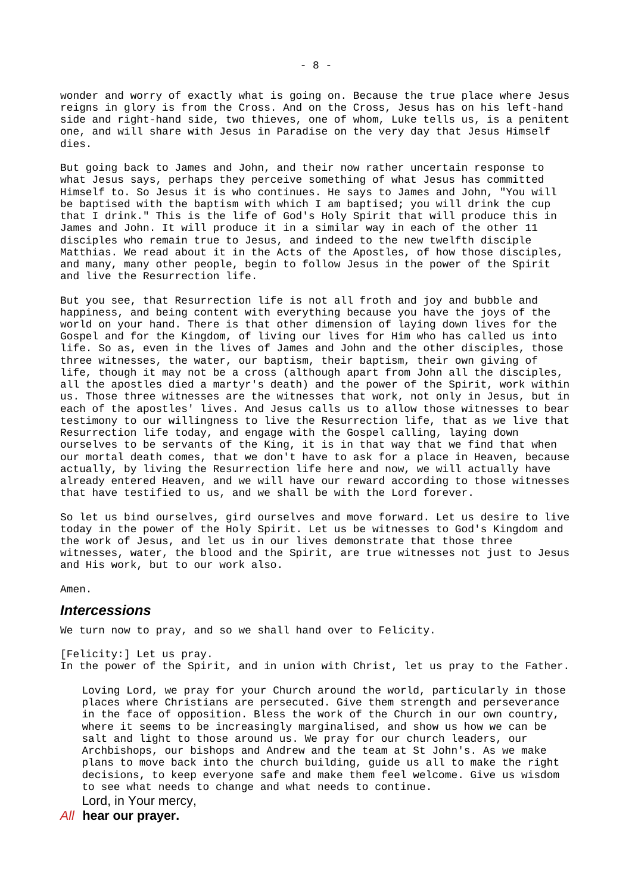wonder and worry of exactly what is going on. Because the true place where Jesus reigns in glory is from the Cross. And on the Cross, Jesus has on his left-hand side and right-hand side, two thieves, one of whom, Luke tells us, is a penitent one, and will share with Jesus in Paradise on the very day that Jesus Himself dies.

But going back to James and John, and their now rather uncertain response to what Jesus says, perhaps they perceive something of what Jesus has committed Himself to. So Jesus it is who continues. He says to James and John, "You will be baptised with the baptism with which I am baptised; you will drink the cup that I drink." This is the life of God's Holy Spirit that will produce this in James and John. It will produce it in a similar way in each of the other 11 disciples who remain true to Jesus, and indeed to the new twelfth disciple Matthias. We read about it in the Acts of the Apostles, of how those disciples, and many, many other people, begin to follow Jesus in the power of the Spirit and live the Resurrection life.

But you see, that Resurrection life is not all froth and joy and bubble and happiness, and being content with everything because you have the joys of the world on your hand. There is that other dimension of laying down lives for the Gospel and for the Kingdom, of living our lives for Him who has called us into life. So as, even in the lives of James and John and the other disciples, those three witnesses, the water, our baptism, their baptism, their own giving of life, though it may not be a cross (although apart from John all the disciples, all the apostles died a martyr's death) and the power of the Spirit, work within us. Those three witnesses are the witnesses that work, not only in Jesus, but in each of the apostles' lives. And Jesus calls us to allow those witnesses to bear testimony to our willingness to live the Resurrection life, that as we live that Resurrection life today, and engage with the Gospel calling, laying down ourselves to be servants of the King, it is in that way that we find that when our mortal death comes, that we don't have to ask for a place in Heaven, because actually, by living the Resurrection life here and now, we will actually have already entered Heaven, and we will have our reward according to those witnesses that have testified to us, and we shall be with the Lord forever.

So let us bind ourselves, gird ourselves and move forward. Let us desire to live today in the power of the Holy Spirit. Let us be witnesses to God's Kingdom and the work of Jesus, and let us in our lives demonstrate that those three witnesses, water, the blood and the Spirit, are true witnesses not just to Jesus and His work, but to our work also.

Amen.

#### <span id="page-7-0"></span>*Intercessions*

We turn now to pray, and so we shall hand over to Felicity.

[Felicity:] Let us pray. In the power of the Spirit, and in union with Christ, let us pray to the Father.

Loving Lord, we pray for your Church around the world, particularly in those places where Christians are persecuted. Give them strength and perseverance in the face of opposition. Bless the work of the Church in our own country, where it seems to be increasingly marginalised, and show us how we can be salt and light to those around us. We pray for our church leaders, our Archbishops, our bishops and Andrew and the team at St John's. As we make plans to move back into the church building, guide us all to make the right decisions, to keep everyone safe and make them feel welcome. Give us wisdom to see what needs to change and what needs to continue. Lord, in Your mercy,

*All* **hear our prayer.**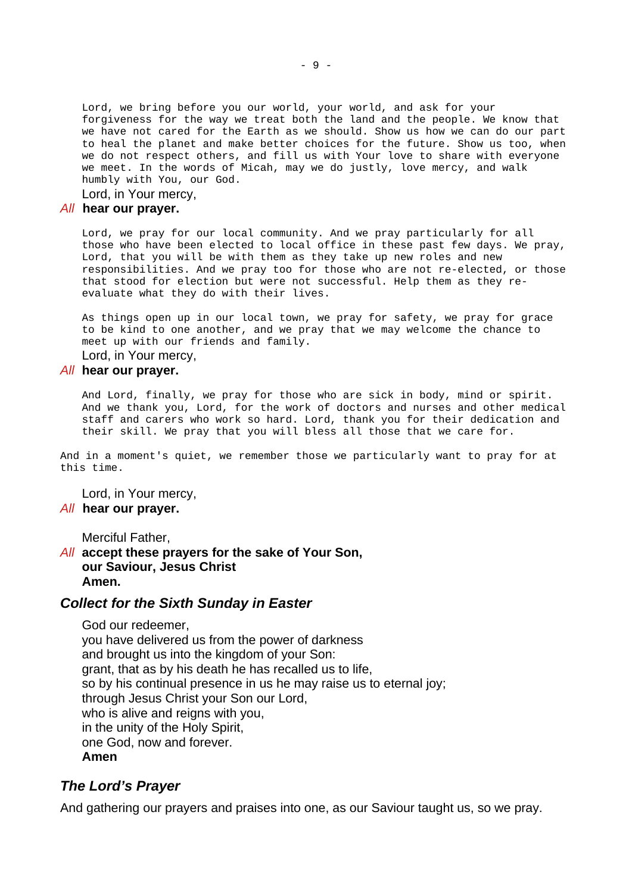Lord, we bring before you our world, your world, and ask for your forgiveness for the way we treat both the land and the people. We know that we have not cared for the Earth as we should. Show us how we can do our part to heal the planet and make better choices for the future. Show us too, when we do not respect others, and fill us with Your love to share with everyone we meet. In the words of Micah, may we do justly, love mercy, and walk humbly with You, our God.

Lord, in Your mercy,

#### *All* **hear our prayer.**

Lord, we pray for our local community. And we pray particularly for all those who have been elected to local office in these past few days. We pray, Lord, that you will be with them as they take up new roles and new responsibilities. And we pray too for those who are not re-elected, or those that stood for election but were not successful. Help them as they reevaluate what they do with their lives.

As things open up in our local town, we pray for safety, we pray for grace to be kind to one another, and we pray that we may welcome the chance to meet up with our friends and family.

# Lord, in Your mercy,

#### *All* **hear our prayer.**

And Lord, finally, we pray for those who are sick in body, mind or spirit. And we thank you, Lord, for the work of doctors and nurses and other medical staff and carers who work so hard. Lord, thank you for their dedication and their skill. We pray that you will bless all those that we care for.

And in a moment's quiet, we remember those we particularly want to pray for at this time.

Lord, in Your mercy, *All* **hear our prayer.**

Merciful Father,

*All* **accept these prayers for the sake of Your Son, our Saviour, Jesus Christ Amen.**

#### <span id="page-8-1"></span>*Collect for the Sixth Sunday in Easter*

God our redeemer, you have delivered us from the power of darkness and brought us into the kingdom of your Son: grant, that as by his death he has recalled us to life, so by his continual presence in us he may raise us to eternal joy; through Jesus Christ your Son our Lord, who is alive and reigns with you, in the unity of the Holy Spirit, one God, now and forever. **Amen**

#### <span id="page-8-0"></span>*The Lord's Prayer*

And gathering our prayers and praises into one, as our Saviour taught us, so we pray.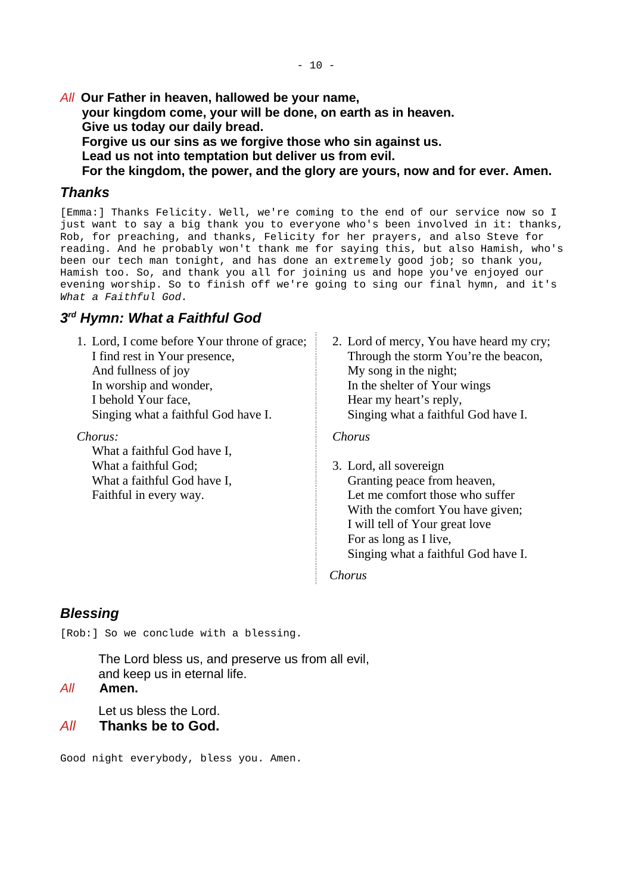*All* **Our Father in heaven, hallowed be your name,**

**your kingdom come, your will be done, on earth as in heaven. Give us today our daily bread.**

**Forgive us our sins as we forgive those who sin against us.**

**Lead us not into temptation but deliver us from evil.**

**For the kingdom, the power, and the glory are yours, now and for ever. Amen.**

### <span id="page-9-2"></span>*Thanks*

[Emma:] Thanks Felicity. Well, we're coming to the end of our service now so I just want to say a big thank you to everyone who's been involved in it: thanks, Rob, for preaching, and thanks, Felicity for her prayers, and also Steve for reading. And he probably won't thank me for saying this, but also Hamish, who's been our tech man tonight, and has done an extremely good job; so thank you, Hamish too. So, and thank you all for joining us and hope you've enjoyed our evening worship. So to finish off we're going to sing our final hymn, and it's *What a Faithful God.*

# <span id="page-9-1"></span>*3 rd Hymn: What a Faithful God*

1. Lord, I come before Your throne of grace; I find rest in Your presence, And fullness of joy In worship and wonder, I behold Your face, Singing what a faithful God have I.

*Chorus:*

What a faithful God have I, What a faithful God; What a faithful God have I, Faithful in every way.

2. Lord of mercy, You have heard my cry; Through the storm You're the beacon, My song in the night; In the shelter of Your wings Hear my heart's reply, Singing what a faithful God have I.

*Chorus*

3. Lord, all sovereign Granting peace from heaven, Let me comfort those who suffer With the comfort You have given; I will tell of Your great love For as long as I live, Singing what a faithful God have I.

*Chorus*

# <span id="page-9-0"></span>*Blessing*

[Rob:] So we conclude with a blessing.

The Lord bless us, and preserve us from all evil, and keep us in eternal life.

#### *All* **Amen.**

Let us bless the Lord.

#### *All* **Thanks be to God.**

Good night everybody, bless you. Amen.